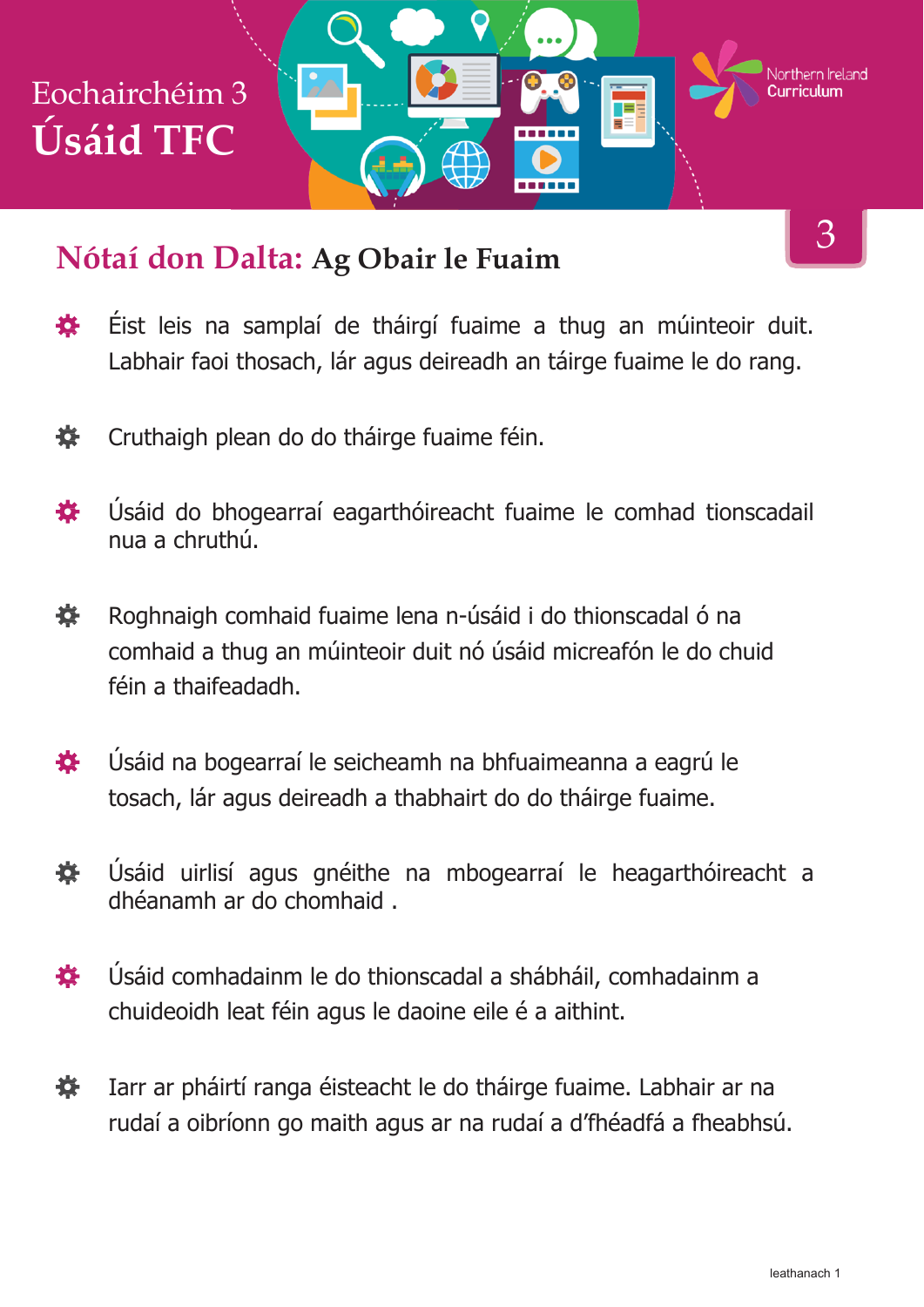

#### **Nótaí don Dalta: Ag Obair le Fuaim**

- Éist leis na samplaí de tháirgí fuaime a thug an múinteoir duit. 養 Labhair faoi thosach, lár agus deireadh an táirge fuaime le do rang.
- 養 Cruthaigh plean do do tháirge fuaime féin.
- Úsáid do bhogearraí eagarthóireacht fuaime le comhad tionscadail 娄 nua a chruthú.
- Roghnaigh comhaid fuaime lena n-úsáid i do thionscadal ó na 娄 comhaid a thug an múinteoir duit nó úsáid micreafón le do chuid féin a thaifeadadh.
- Úsáid na bogearraí le seicheamh na bhfuaimeanna a eagrú le 娄 tosach, lár agus deireadh a thabhairt do do tháirge fuaime.
- Úsáid uirlisí agus gnéithe na mbogearraí le heagarthóireacht a 養 dhéanamh ar do chomhaid .
- Úsáid comhadainm le do thionscadal a shábháil, comhadainm a 苍 chuideoidh leat féin agus le daoine eile é a aithint.
- 娄 Iarr ar pháirtí ranga éisteacht le do tháirge fuaime. Labhair ar na rudaí a oibríonn go maith agus ar na rudaí a d'fhéadfá a fheabhsú.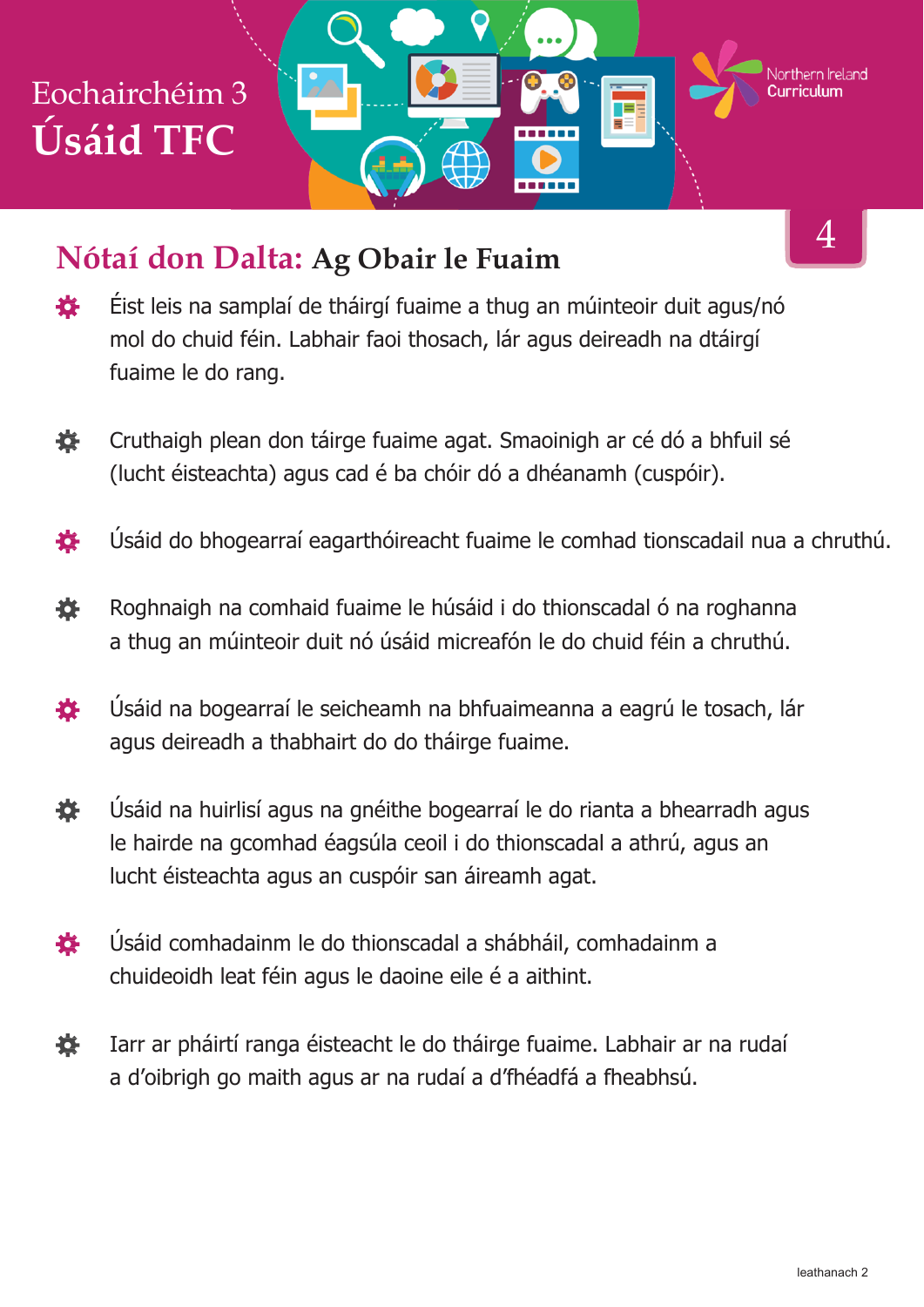# Eochairchéim 3 **Úsáid TFC**

### **Nótaí don Dalta: Ag Obair le Fuaim**

- Éist leis na samplaí de tháirgí fuaime a thug an múinteoir duit agus/nó 養 mol do chuid féin. Labhair faoi thosach, lár agus deireadh na dtáirgí fuaime le do rang.
- 赛 Cruthaigh plean don táirge fuaime agat. Smaoinigh ar cé dó a bhfuil sé (lucht éisteachta) agus cad é ba chóir dó a dhéanamh (cuspóir).
- Úsáid do bhogearraí eagarthóireacht fuaime le comhad tionscadail nua a chruthú. 春
- 娄 Roghnaigh na comhaid fuaime le húsáid i do thionscadal ó na roghanna a thug an múinteoir duit nó úsáid micreafón le do chuid féin a chruthú.
- 娄 Úsáid na bogearraí le seicheamh na bhfuaimeanna a eagrú le tosach, lár agus deireadh a thabhairt do do tháirge fuaime.
- Úsáid na huirlisí agus na gnéithe bogearraí le do rianta a bhearradh agus 養 le hairde na gcomhad éagsúla ceoil i do thionscadal a athrú, agus an lucht éisteachta agus an cuspóir san áireamh agat.
- Úsáid comhadainm le do thionscadal a shábháil, comhadainm a 養 chuideoidh leat féin agus le daoine eile é a aithint.
- Iarr ar pháirtí ranga éisteacht le do tháirge fuaime. Labhair ar na rudaí 養 a d'oibrigh go maith agus ar na rudaí a d'fhéadfá a fheabhsú.

4

Northern Ireland

F

------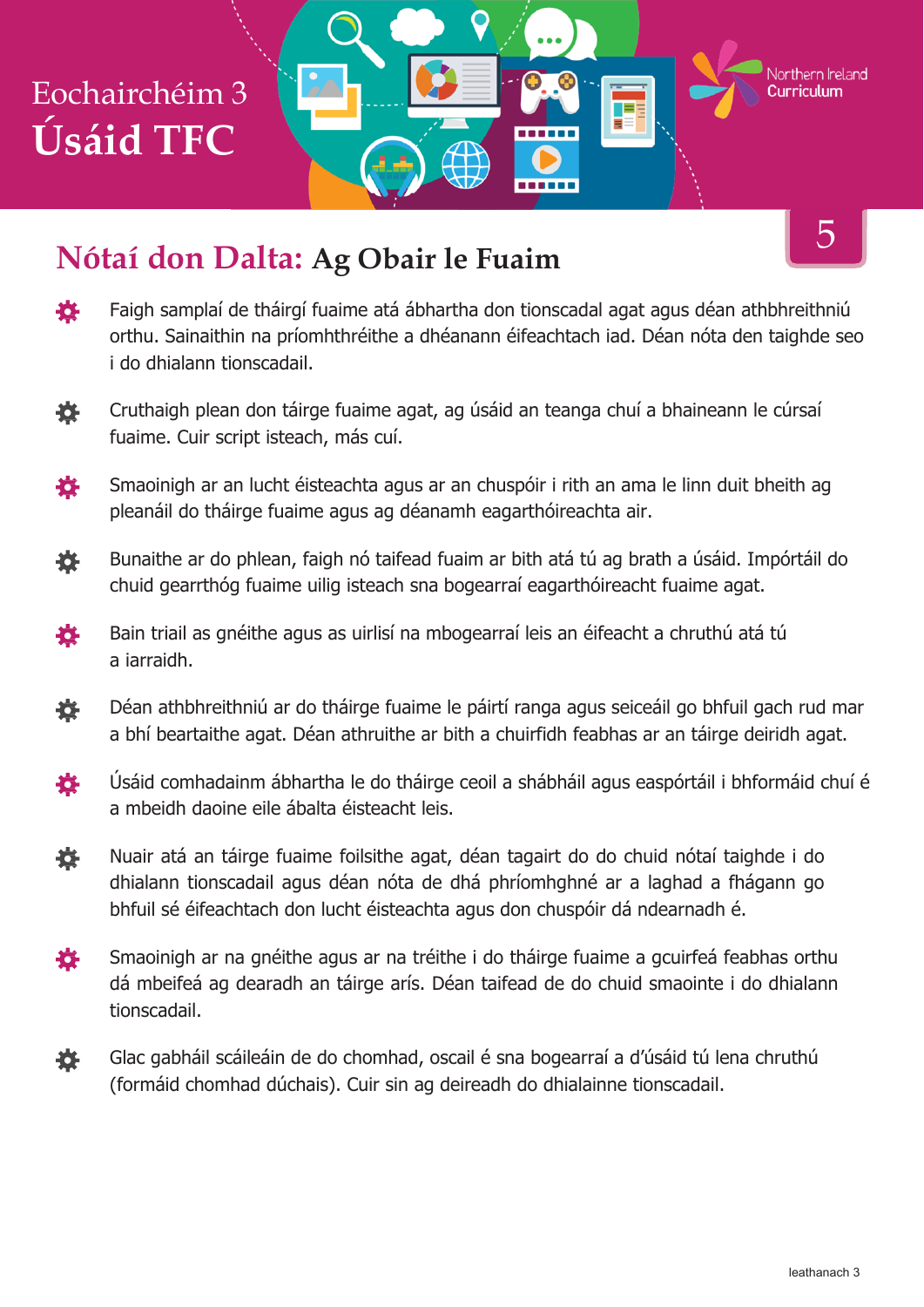## Eochairchéim 3 **Úsáid TFC**

### **Nótaí don Dalta: Ag Obair le Fuaim**

- 娄 Faigh samplaí de tháirgí fuaime atá ábhartha don tionscadal agat agus déan athbhreithniú orthu. Sainaithin na príomhthréithe a dhéanann éifeachtach iad. Déan nóta den taighde seo i do dhialann tionscadail.
- Cruthaigh plean don táirge fuaime agat, ag úsáid an teanga chuí a bhaineann le cúrsaí 登 fuaime. Cuir script isteach, más cuí.
- Smaoinigh ar an lucht éisteachta agus ar an chuspóir i rith an ama le linn duit bheith ag 養 pleanáil do tháirge fuaime agus ag déanamh eagarthóireachta air.
- Bunaithe ar do phlean, faigh nó taifead fuaim ar bith atá tú ag brath a úsáid. Impórtáil do 娄 chuid gearrthóg fuaime uilig isteach sna bogearraí eagarthóireacht fuaime agat.
- 養 Bain triail as gnéithe agus as uirlisí na mbogearraí leis an éifeacht a chruthú atá tú a iarraidh.
- 養 Déan athbhreithniú ar do tháirge fuaime le páirtí ranga agus seiceáil go bhfuil gach rud mar a bhí beartaithe agat. Déan athruithe ar bith a chuirfidh feabhas ar an táirge deiridh agat.
- Úsáid comhadainm ábhartha le do tháirge ceoil a shábháil agus easpórtáil i bhformáid chuí é 養 a mbeidh daoine eile ábalta éisteacht leis.
- Nuair atá an táirge fuaime foilsithe agat, déan tagairt do do chuid nótaí taighde i do 養 dhialann tionscadail agus déan nóta de dhá phríomhghné ar a laghad a fhágann go bhfuil sé éifeachtach don lucht éisteachta agus don chuspóir dá ndearnadh é.
- Smaoinigh ar na gnéithe agus ar na tréithe i do tháirge fuaime a gcuirfeá feabhas orthu 各 dá mbeifeá ag dearadh an táirge arís. Déan taifead de do chuid smaointe i do dhialann tionscadail.
- Glac gabháil scáileáin de do chomhad, oscail é sna bogearraí a d'úsáid tú lena chruthú 養 (formáid chomhad dúchais). Cuir sin ag deireadh do dhialainne tionscadail.

5

Northern Ireland

TE.

------